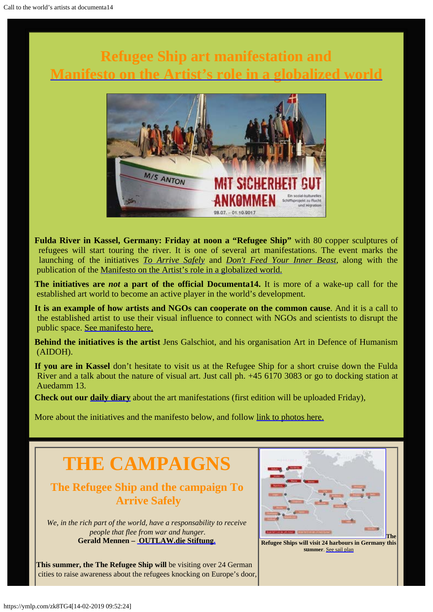# **Refugee Ship art manifestation and [Manifesto on the Artist's role in a globalized world](http://www.galschiot.com/wp-content/uploads/2017/06/documenta_manifesto_GB_Final.pdf)**



**Fulda River in Kassel, Germany: Friday at noon a "Refugee Ship"** with 80 copper sculptures of refugees will start touring the river. It is one of several art manifestations. The event marks the launching of the initiatives *[To Arrive Safely](http://www.outlaw-diestiftung.de/aktivitaeten/veranstaltungen/mit-sicherheit-gut-ankommen/)* and *[Don't Feed Your Inner Beast](http://www.galschiot.com/documenta14/),* along with the publication of the [Manifesto on the Artist's role in a globalized world.](http://www.galschiot.com/wp-content/uploads/2017/06/documenta_manifesto_GB_Final.pdf)

**The initiatives are** *not* **a part of the official Documenta14.** It is more of a wake-up call for the established art world to become an active player in the world's development.

**It is an example of how artists and NGOs can cooperate on the common cause**. And it is a call to the established artist to use their visual influence to connect with NGOs and scientists to disrupt the public space. [See manifesto here](http://www.galschiot.com/wp-content/uploads/2017/06/documenta_manifesto_GB_Final.pdf).

**Behind the initiatives is the artist** Jens Galschiot, and his organisation Art in Defence of Humanism (AIDOH).

**If you are in Kassel** don't hesitate to visit us at the Refugee Ship for a short cruise down the Fulda River and a talk about the nature of visual art. Just call ph. +45 6170 3083 or go to docking station at Auedamm 13.

**Check out our [daily diary](http://www.galschiot.com/documenta14/)** about the art manifestations (first edition will be uploaded Friday),

More about the initiatives and the manifesto below, and follow [link to photos here.](http://www.galschiot.com/press-photos-documenta14/)

# **THE CAMPAIGNS**

### **The Refugee Ship and the campaign To Arrive Safely**

*We, in the rich part of the world, have a responsability to receive people that flee from war and hunger.* **Gerald Mennen – [OUTLAW.die Stiftung.](http://www.outlaw-diestiftung.de/aktivitaeten/veranstaltungen/mit-sicherheit-gut-ankommen/)**

**This summer, the The Refugee Ship will** be visiting over 24 German cities to raise awareness about the refugees knocking on Europe's door,



 **Refugee Ships will visit 24 harbours in Germany this summer**. [See sail plan](http://www.outlaw-diestiftung.de/aktivitaeten/veranstaltungen/mit-sicherheit-gut-ankommen/die-route/#c145)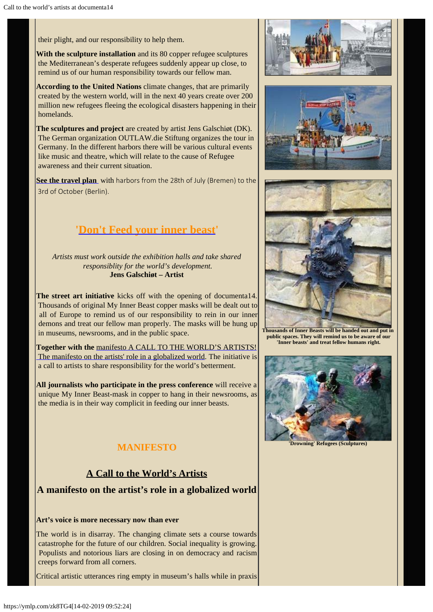their plight, and our responsibility to help them.

**With the sculpture installation** and its 80 copper refugee sculptures the Mediterranean's desperate refugees suddenly appear up close, to remind us of our human responsibility towards our fellow man.

**According to the United Nations** climate changes, that are primarily created by the western world, will in the next 40 years create over 200 million new refugees fleeing the ecological disasters happening in their homelands.

**The sculptures and project** are created by artist Jens Galschiøt (DK). The German organization OUTLAW.die Stiftung organizes the tour in Germany. In the different harbors there will be various cultural events like music and theatre, which will relate to the cause of Refugee awareness and their current situation.

**[See the travel plan](http://www.outlaw-diestiftung.de/aktivitaeten/veranstaltungen/mit-sicherheit-gut-ankommen/die-route/#c145)** with harbors from the 28th of July (Bremen) to the 3rd of October (Berlin).

## **'[Don't Feed your inner beast](http://www.galschiot.com/documenta14/)'**

*Artists must work outside the exhibition halls and take shared responsiblity for the world's development.* **Jens Galschiøt – Artist**

**The street art initiative** kicks off with the opening of documenta14. Thousands of original My Inner Beast copper masks will be dealt out to all of Europe to remind us of our responsibility to rein in our inner demons and treat our fellow man properly. The masks will be hung up in museums, newsrooms, and in the public space.

**Together with the** [manifesto A CALL TO THE WORLD'S ARTISTS!](http://www.galschiot.com/wp-content/uploads/2017/06/documenta_manifesto_GB_Final.pdf)  [The manifesto on the artists' role in a globalized world](http://www.galschiot.com/wp-content/uploads/2017/06/documenta_manifesto_GB_Final.pdf). The initiative is a call to artists to share responsibility for the world's betterment.

**All journalists who participate in the press conference** will receive a unique My Inner Beast-mask in copper to hang in their newsrooms, as the media is in their way complicit in feeding our inner beasts.

### **MANIFESTO**

### **A Call to the World's Artists**

### **A manifesto on the artist's role in a globalized world**

#### **Art's voice is more necessary now than ever**

The world is in disarray. The changing climate sets a course towards catastrophe for the future of our children. Social inequality is growing. Populists and notorious liars are closing in on democracy and racism creeps forward from all corners.

Critical artistic utterances ring empty in museum's halls while in praxis







**Thousands of Inner Beasts will be handed out and put in public spaces. They will remind us to be aware of our 'Inner beasts' and treat fellow humans right.**



**'Drowning' Refugees (Sculptures)**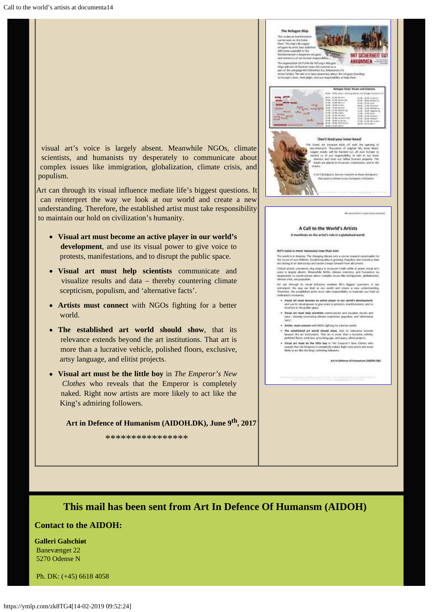visual art's voice is largely absent. Meanwhile NGOs, climate scientists, and humanists try desperately to communicate about complex issues like immigration, globalization, climate crisis, and populism.

Art can through its visual influence mediate life's biggest questions. It can reinterpret the way we look at our world and create a new understanding. Therefore, the established artist must take responsibility to maintain our hold on civilization's humanity.

- **Visual art must become an active player in our world's development**, and use its visual power to give voice to protests, manifestations, and to disrupt the public space.
- **Visual art must help scientists** communicate and visualize results and data – thereby countering climate scepticism, populism, and 'alternative facts'.
- **Artists must connect** with NGOs fighting for a better world.
- **The established art world should show**, that its relevance extends beyond the art institutions. That art is more than a lucrative vehicle, polished floors, exclusive, artsy language, and elitist projects.
- **Visual art must be the little boy** in *The Emperor's New Clothes* who reveals that the Emperor is completely naked. Right now artists are more likely to act like the King's admiring followers.

**Art in Defence of Humanism (AIDOH.DK), June 9th, 2017** 

\*\*\*\*\*\*\*\*\*\*\*\*\*\*\*\*



### **This mail has been sent from Art In Defence Of Humansm (AIDOH)**

#### **Contact to the AIDOH:**

**Galleri Galschiøt** Banevænget 22 5270 Odense N

Ph. DK: (+45) 6618 4058